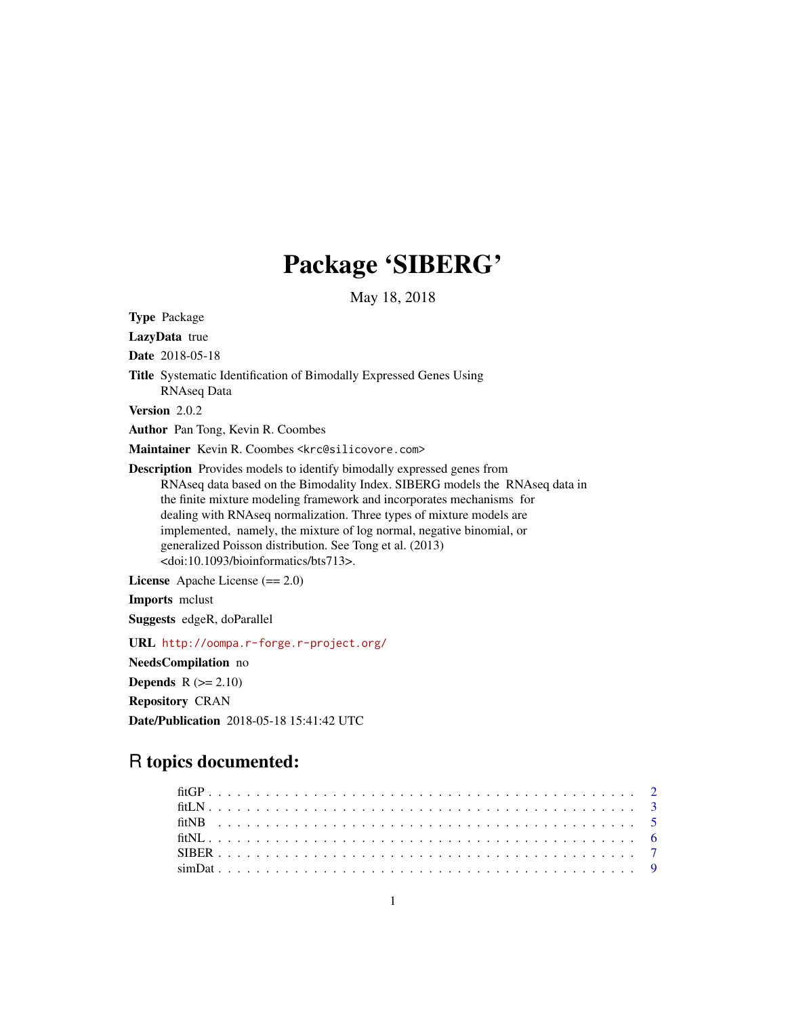# Package 'SIBERG'

May 18, 2018

Type Package LazyData true Date 2018-05-18 Title Systematic Identification of Bimodally Expressed Genes Using RNAseq Data Version 2.0.2 Author Pan Tong, Kevin R. Coombes Maintainer Kevin R. Coombes <krc@silicovore.com> Description Provides models to identify bimodally expressed genes from RNAseq data based on the Bimodality Index. SIBERG models the RNAseq data in the finite mixture modeling framework and incorporates mechanisms for dealing with RNAseq normalization. Three types of mixture models are implemented, namely, the mixture of log normal, negative binomial, or generalized Poisson distribution. See Tong et al. (2013) <doi:10.1093/bioinformatics/bts713>. License Apache License (== 2.0) Imports mclust Suggests edgeR, doParallel

URL <http://oompa.r-forge.r-project.org/>

NeedsCompilation no

**Depends**  $R$  ( $>= 2.10$ )

Repository CRAN Date/Publication 2018-05-18 15:41:42 UTC

# R topics documented: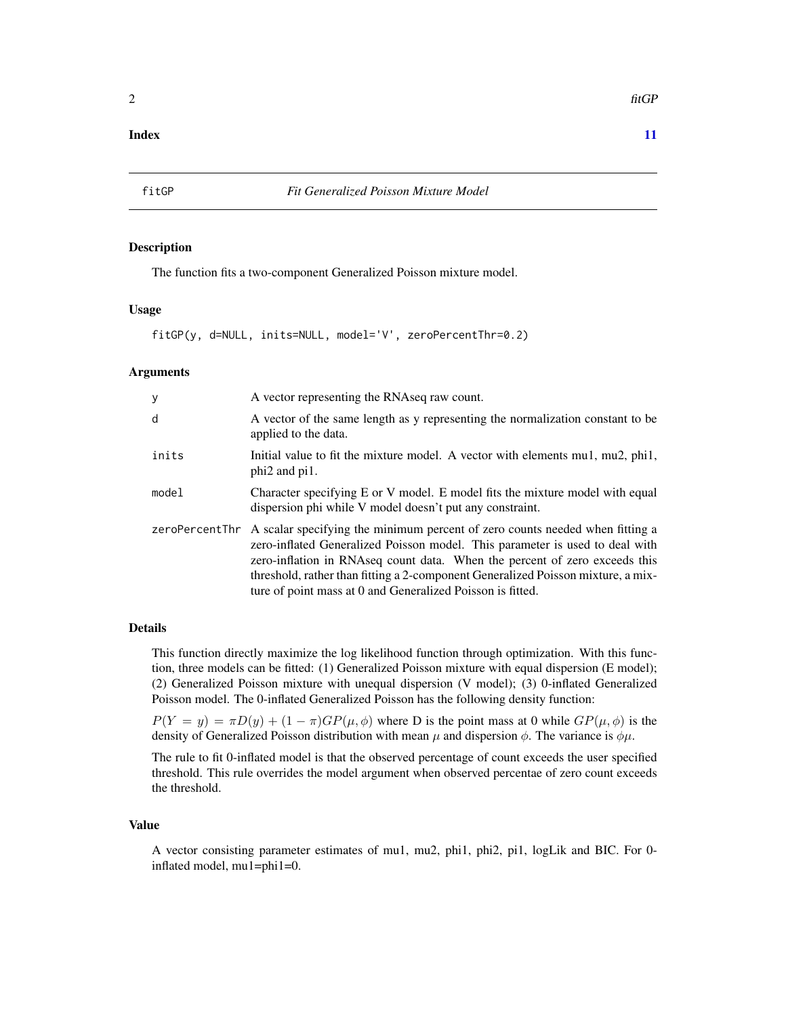### <span id="page-1-0"></span>**Index** [11](#page-10-0)

<span id="page-1-1"></span>

#### Description

The function fits a two-component Generalized Poisson mixture model.

#### Usage

fitGP(y, d=NULL, inits=NULL, model='V', zeroPercentThr=0.2)

#### Arguments

| У     | A vector representing the RNAseq raw count.                                                                                                                                                                                                                                                                                                                                                                 |
|-------|-------------------------------------------------------------------------------------------------------------------------------------------------------------------------------------------------------------------------------------------------------------------------------------------------------------------------------------------------------------------------------------------------------------|
| d     | A vector of the same length as y representing the normalization constant to be<br>applied to the data.                                                                                                                                                                                                                                                                                                      |
| inits | Initial value to fit the mixture model. A vector with elements mu1, mu2, phi1,<br>phi <sub>2</sub> and pi <sub>1</sub> .                                                                                                                                                                                                                                                                                    |
| mode1 | Character specifying E or V model. E model fits the mixture model with equal<br>dispersion phi while V model doesn't put any constraint.                                                                                                                                                                                                                                                                    |
|       | zeroPercentThr A scalar specifying the minimum percent of zero counts needed when fitting a<br>zero-inflated Generalized Poisson model. This parameter is used to deal with<br>zero-inflation in RNAseq count data. When the percent of zero exceeds this<br>threshold, rather than fitting a 2-component Generalized Poisson mixture, a mix-<br>ture of point mass at 0 and Generalized Poisson is fitted. |

#### Details

This function directly maximize the log likelihood function through optimization. With this function, three models can be fitted: (1) Generalized Poisson mixture with equal dispersion (E model); (2) Generalized Poisson mixture with unequal dispersion (V model); (3) 0-inflated Generalized Poisson model. The 0-inflated Generalized Poisson has the following density function:

 $P(Y = y) = \pi D(y) + (1 - \pi) G P(\mu, \phi)$  where D is the point mass at 0 while  $GP(\mu, \phi)$  is the density of Generalized Poisson distribution with mean  $\mu$  and dispersion  $\phi$ . The variance is  $\phi\mu$ .

The rule to fit 0-inflated model is that the observed percentage of count exceeds the user specified threshold. This rule overrides the model argument when observed percentae of zero count exceeds the threshold.

# Value

A vector consisting parameter estimates of mu1, mu2, phi1, phi2, pi1, logLik and BIC. For 0 inflated model, mu1=phi1=0.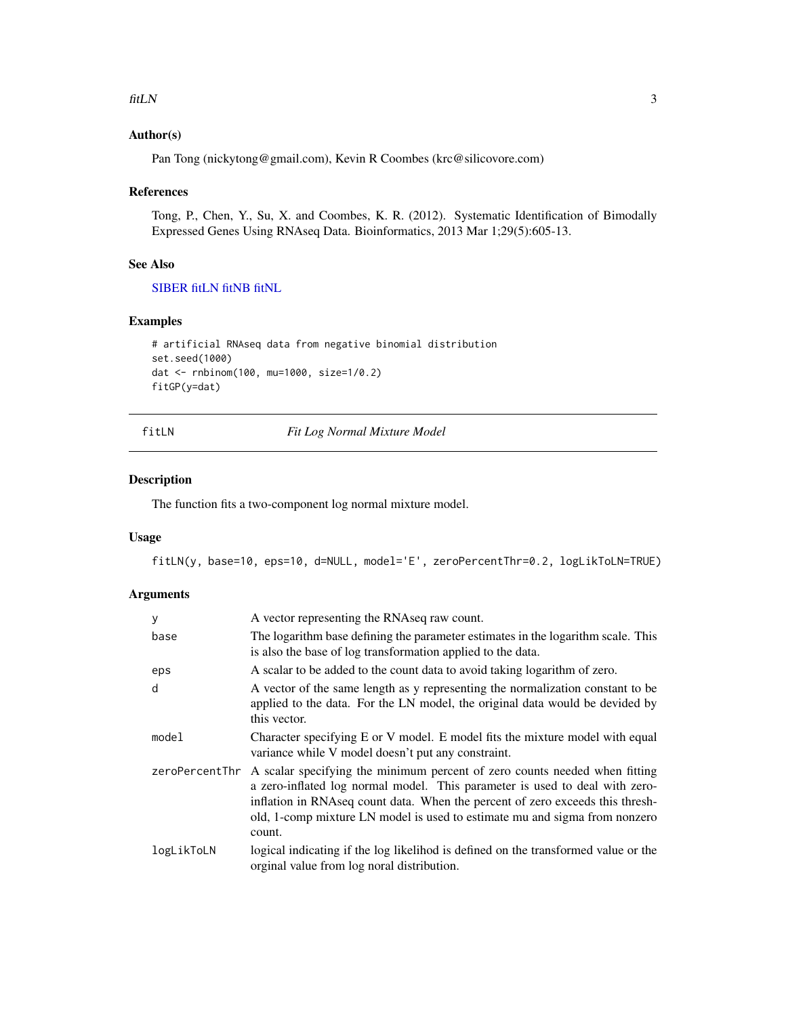#### <span id="page-2-0"></span> $fitLN$  3

# Author(s)

Pan Tong (nickytong@gmail.com), Kevin R Coombes (krc@silicovore.com)

#### References

Tong, P., Chen, Y., Su, X. and Coombes, K. R. (2012). Systematic Identification of Bimodally Expressed Genes Using RNAseq Data. Bioinformatics, 2013 Mar 1;29(5):605-13.

#### See Also

[SIBER](#page-6-1) [fitLN](#page-2-1) [fitNB](#page-4-1) [fitNL](#page-5-1)

#### Examples

```
# artificial RNAseq data from negative binomial distribution
set.seed(1000)
dat <- rnbinom(100, mu=1000, size=1/0.2)
fitGP(y=dat)
```
<span id="page-2-1"></span>fitLN *Fit Log Normal Mixture Model*

#### Description

The function fits a two-component log normal mixture model.

#### Usage

fitLN(y, base=10, eps=10, d=NULL, model='E', zeroPercentThr=0.2, logLikToLN=TRUE)

#### Arguments

| У              | A vector representing the RNAseq raw count.                                                                                                                                                                                                                                                                                        |
|----------------|------------------------------------------------------------------------------------------------------------------------------------------------------------------------------------------------------------------------------------------------------------------------------------------------------------------------------------|
| base           | The logarithm base defining the parameter estimates in the logarithm scale. This<br>is also the base of log transformation applied to the data.                                                                                                                                                                                    |
| eps            | A scalar to be added to the count data to avoid taking logarithm of zero.                                                                                                                                                                                                                                                          |
| d              | A vector of the same length as y representing the normalization constant to be<br>applied to the data. For the LN model, the original data would be devided by<br>this vector.                                                                                                                                                     |
| model          | Character specifying E or V model. E model fits the mixture model with equal<br>variance while V model doesn't put any constraint.                                                                                                                                                                                                 |
| zeroPercentThr | A scalar specifying the minimum percent of zero counts needed when fitting<br>a zero-inflated log normal model. This parameter is used to deal with zero-<br>inflation in RNAseq count data. When the percent of zero exceeds this thresh-<br>old, 1-comp mixture LN model is used to estimate mu and sigma from nonzero<br>count. |
| logLikToLN     | logical indicating if the log likelihod is defined on the transformed value or the<br>orginal value from log noral distribution.                                                                                                                                                                                                   |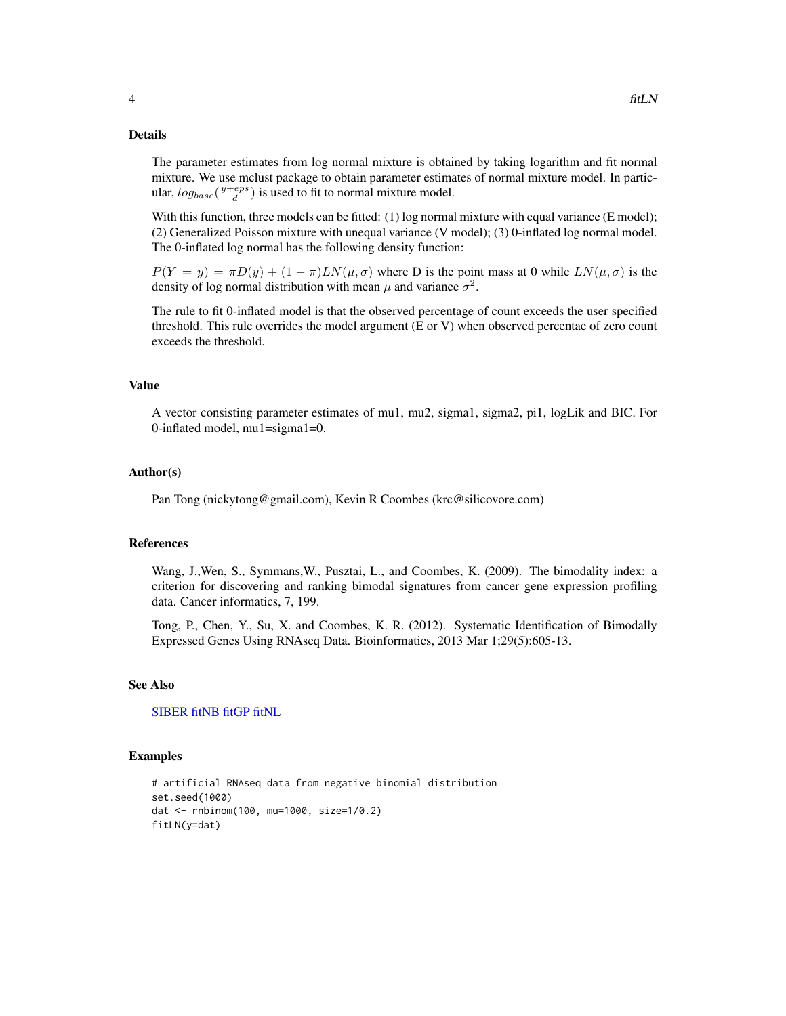#### Details

The parameter estimates from log normal mixture is obtained by taking logarithm and fit normal mixture. We use mclust package to obtain parameter estimates of normal mixture model. In particular,  $log_{base}(\frac{y+eps}{d})$  is used to fit to normal mixture model.

With this function, three models can be fitted: (1) log normal mixture with equal variance (E model); (2) Generalized Poisson mixture with unequal variance (V model); (3) 0-inflated log normal model. The 0-inflated log normal has the following density function:

 $P(Y = y) = \pi D(y) + (1 - \pi)LN(\mu, \sigma)$  where D is the point mass at 0 while  $LN(\mu, \sigma)$  is the density of log normal distribution with mean  $\mu$  and variance  $\sigma^2$ .

The rule to fit 0-inflated model is that the observed percentage of count exceeds the user specified threshold. This rule overrides the model argument (E or V) when observed percentae of zero count exceeds the threshold.

#### Value

A vector consisting parameter estimates of mu1, mu2, sigma1, sigma2, pi1, logLik and BIC. For 0-inflated model, mu1=sigma1=0.

#### Author(s)

Pan Tong (nickytong@gmail.com), Kevin R Coombes (krc@silicovore.com)

#### References

Wang, J.,Wen, S., Symmans,W., Pusztai, L., and Coombes, K. (2009). The bimodality index: a criterion for discovering and ranking bimodal signatures from cancer gene expression profiling data. Cancer informatics, 7, 199.

Tong, P., Chen, Y., Su, X. and Coombes, K. R. (2012). Systematic Identification of Bimodally Expressed Genes Using RNAseq Data. Bioinformatics, 2013 Mar 1;29(5):605-13.

#### See Also

[SIBER](#page-6-1) [fitNB](#page-4-1) [fitGP](#page-1-1) [fitNL](#page-5-1)

#### Examples

```
# artificial RNAseq data from negative binomial distribution
set.seed(1000)
dat <- rnbinom(100, mu=1000, size=1/0.2)
fitLN(y=dat)
```
<span id="page-3-0"></span>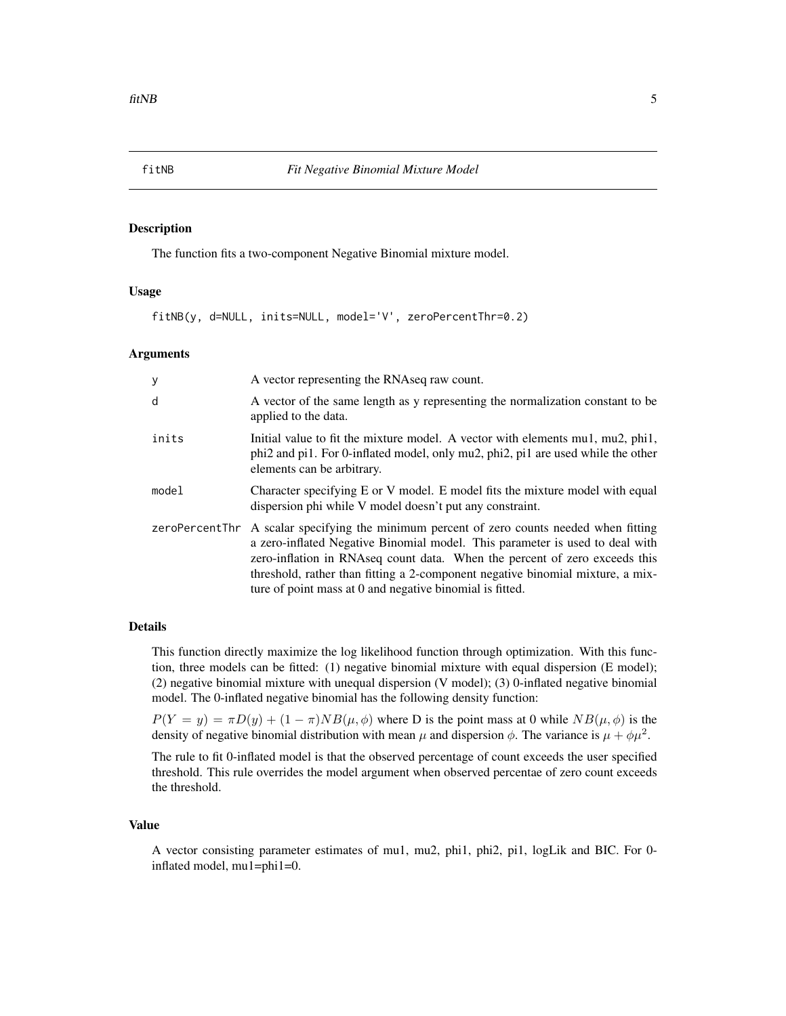#### <span id="page-4-1"></span><span id="page-4-0"></span>Description

The function fits a two-component Negative Binomial mixture model.

#### Usage

fitNB(y, d=NULL, inits=NULL, model='V', zeroPercentThr=0.2)

#### **Arguments**

| у     | A vector representing the RNAseq raw count.                                                                                                                                                                                                                                                                                                                                                           |
|-------|-------------------------------------------------------------------------------------------------------------------------------------------------------------------------------------------------------------------------------------------------------------------------------------------------------------------------------------------------------------------------------------------------------|
| d     | A vector of the same length as y representing the normalization constant to be<br>applied to the data.                                                                                                                                                                                                                                                                                                |
| inits | Initial value to fit the mixture model. A vector with elements mu1, mu2, phi1,<br>phi2 and pi1. For 0-inflated model, only mu2, phi2, pi1 are used while the other<br>elements can be arbitrary.                                                                                                                                                                                                      |
| model | Character specifying E or V model. E model fits the mixture model with equal<br>dispersion phi while V model doesn't put any constraint.                                                                                                                                                                                                                                                              |
|       | zeroPercentThr A scalar specifying the minimum percent of zero counts needed when fitting<br>a zero-inflated Negative Binomial model. This parameter is used to deal with<br>zero-inflation in RNAseq count data. When the percent of zero exceeds this<br>threshold, rather than fitting a 2-component negative binomial mixture, a mix-<br>ture of point mass at 0 and negative binomial is fitted. |

#### Details

This function directly maximize the log likelihood function through optimization. With this function, three models can be fitted: (1) negative binomial mixture with equal dispersion (E model); (2) negative binomial mixture with unequal dispersion (V model); (3) 0-inflated negative binomial model. The 0-inflated negative binomial has the following density function:

 $P(Y = y) = \pi D(y) + (1 - \pi)NB(\mu, \phi)$  where D is the point mass at 0 while  $NB(\mu, \phi)$  is the density of negative binomial distribution with mean  $\mu$  and dispersion  $\phi$ . The variance is  $\mu + \phi \mu^2$ .

The rule to fit 0-inflated model is that the observed percentage of count exceeds the user specified threshold. This rule overrides the model argument when observed percentae of zero count exceeds the threshold.

# Value

A vector consisting parameter estimates of mu1, mu2, phi1, phi2, pi1, logLik and BIC. For 0 inflated model, mu1=phi1=0.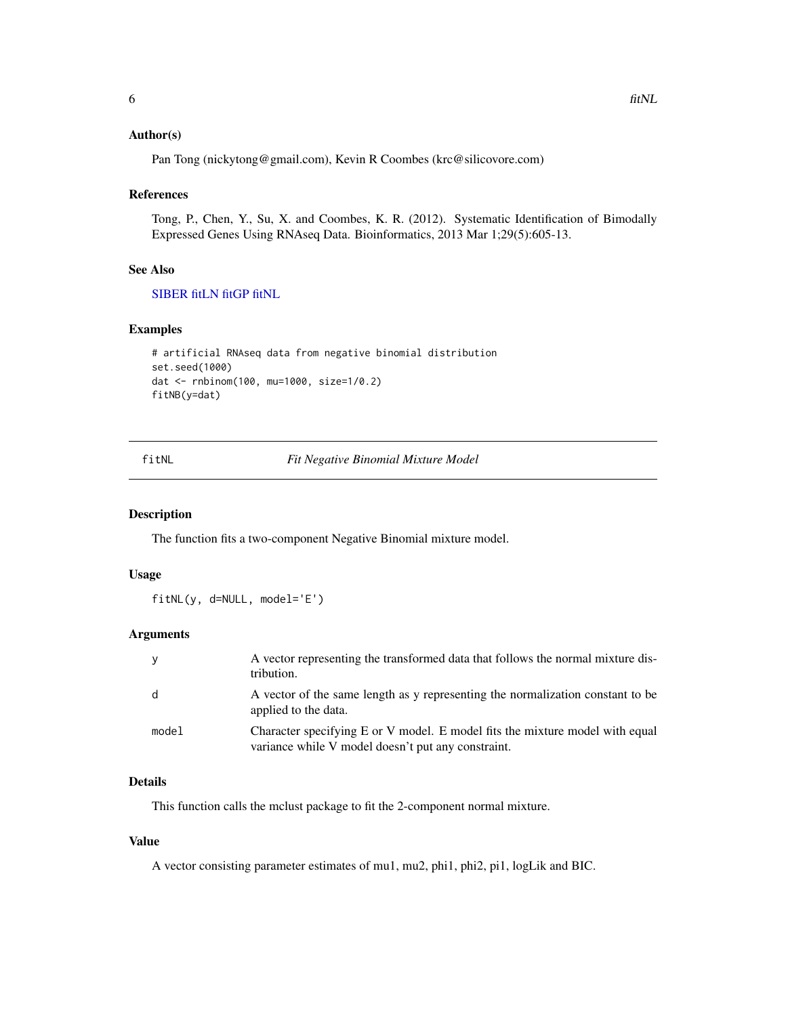#### <span id="page-5-0"></span>Author(s)

Pan Tong (nickytong@gmail.com), Kevin R Coombes (krc@silicovore.com)

#### References

Tong, P., Chen, Y., Su, X. and Coombes, K. R. (2012). Systematic Identification of Bimodally Expressed Genes Using RNAseq Data. Bioinformatics, 2013 Mar 1;29(5):605-13.

#### See Also

[SIBER](#page-6-1) [fitLN](#page-2-1) [fitGP](#page-1-1) [fitNL](#page-5-1)

#### Examples

```
# artificial RNAseq data from negative binomial distribution
set.seed(1000)
dat <- rnbinom(100, mu=1000, size=1/0.2)
fitNB(y=dat)
```
<span id="page-5-1"></span>fitNL *Fit Negative Binomial Mixture Model*

# Description

The function fits a two-component Negative Binomial mixture model.

#### Usage

fitNL(y, d=NULL, model='E')

# Arguments

|       | A vector representing the transformed data that follows the normal mixture dis-<br>tribution.                                      |
|-------|------------------------------------------------------------------------------------------------------------------------------------|
| - d   | A vector of the same length as y representing the normalization constant to be<br>applied to the data.                             |
| model | Character specifying E or V model. E model fits the mixture model with equal<br>variance while V model doesn't put any constraint. |

# Details

This function calls the mclust package to fit the 2-component normal mixture.

#### Value

A vector consisting parameter estimates of mu1, mu2, phi1, phi2, pi1, logLik and BIC.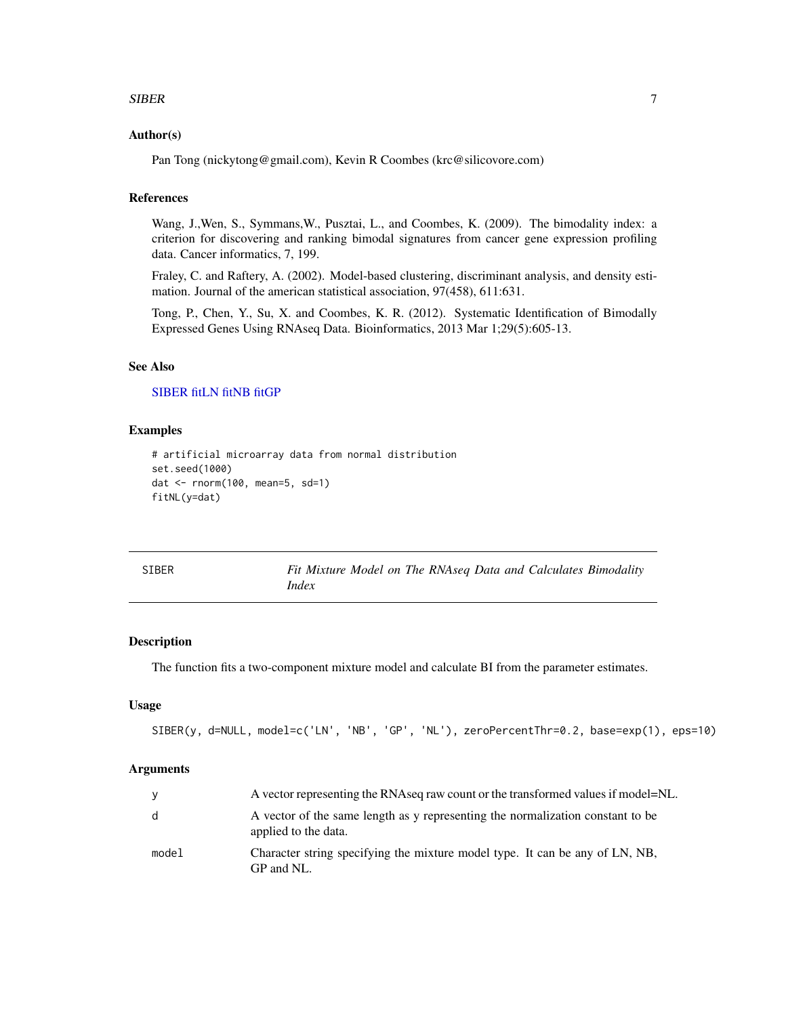#### <span id="page-6-0"></span> $SIBER$  7

#### Author(s)

Pan Tong (nickytong@gmail.com), Kevin R Coombes (krc@silicovore.com)

# References

Wang, J.,Wen, S., Symmans,W., Pusztai, L., and Coombes, K. (2009). The bimodality index: a criterion for discovering and ranking bimodal signatures from cancer gene expression profiling data. Cancer informatics, 7, 199.

Fraley, C. and Raftery, A. (2002). Model-based clustering, discriminant analysis, and density estimation. Journal of the american statistical association, 97(458), 611:631.

Tong, P., Chen, Y., Su, X. and Coombes, K. R. (2012). Systematic Identification of Bimodally Expressed Genes Using RNAseq Data. Bioinformatics, 2013 Mar 1;29(5):605-13.

# See Also

#### [SIBER](#page-6-1) [fitLN](#page-2-1) [fitNB](#page-4-1) [fitGP](#page-1-1)

#### Examples

```
# artificial microarray data from normal distribution
set.seed(1000)
dat <- rnorm(100, mean=5, sd=1)
fitNL(y=dat)
```
<span id="page-6-1"></span>

| SIBER | Fit Mixture Model on The RNAseq Data and Calculates Bimodality |
|-------|----------------------------------------------------------------|
|       | Index                                                          |

# Description

The function fits a two-component mixture model and calculate BI from the parameter estimates.

# Usage

```
SIBER(y, d=NULL, model=c('LN', 'NB', 'GP', 'NL'), zeroPercentThr=0.2, base=exp(1), eps=10)
```
#### Arguments

| <b>V</b> | A vector representing the RNAseq raw count or the transformed values if model=NL.                      |
|----------|--------------------------------------------------------------------------------------------------------|
| d        | A vector of the same length as y representing the normalization constant to be<br>applied to the data. |
| model    | Character string specifying the mixture model type. It can be any of LN, NB,<br>GP and NL.             |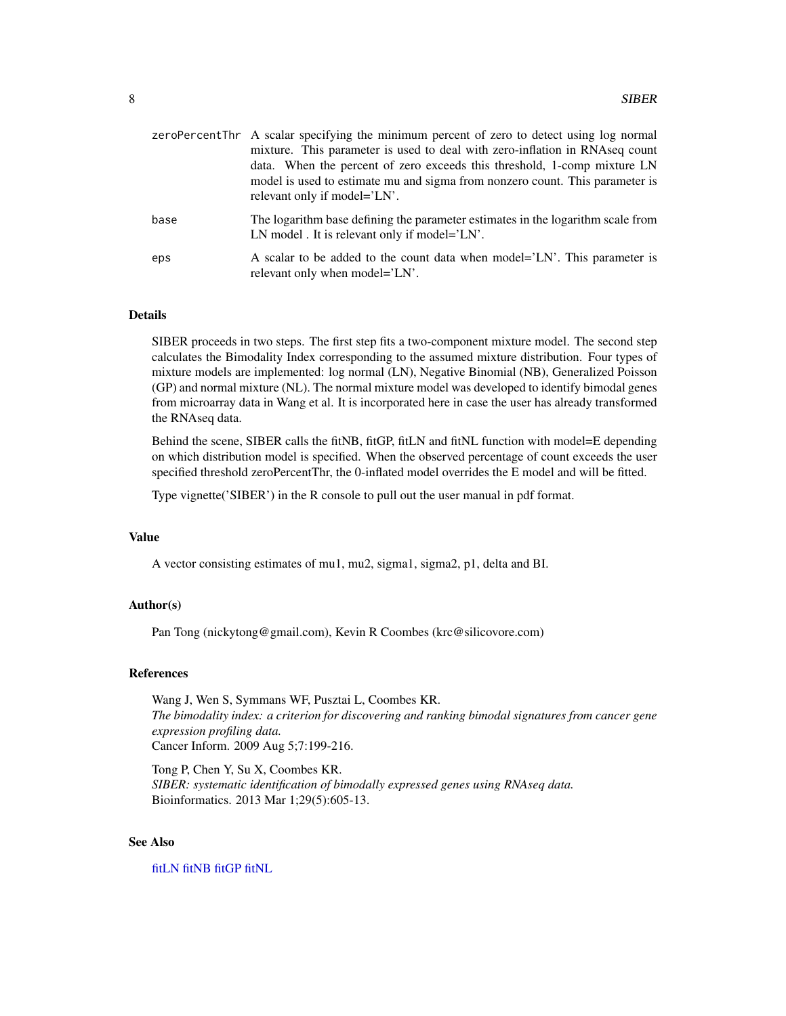<span id="page-7-0"></span>

|      | zeroPercentThr A scalar specifying the minimum percent of zero to detect using log normal<br>mixture. This parameter is used to deal with zero-inflation in RNAseq count<br>data. When the percent of zero exceeds this threshold, 1-comp mixture LN<br>model is used to estimate mu and sigma from nonzero count. This parameter is<br>relevant only if model='LN'. |
|------|----------------------------------------------------------------------------------------------------------------------------------------------------------------------------------------------------------------------------------------------------------------------------------------------------------------------------------------------------------------------|
| base | The logarithm base defining the parameter estimates in the logarithm scale from<br>LN model . It is relevant only if model='LN'.                                                                                                                                                                                                                                     |
| eps  | A scalar to be added to the count data when model='LN'. This parameter is<br>relevant only when model='LN'.                                                                                                                                                                                                                                                          |

#### Details

SIBER proceeds in two steps. The first step fits a two-component mixture model. The second step calculates the Bimodality Index corresponding to the assumed mixture distribution. Four types of mixture models are implemented: log normal (LN), Negative Binomial (NB), Generalized Poisson (GP) and normal mixture (NL). The normal mixture model was developed to identify bimodal genes from microarray data in Wang et al. It is incorporated here in case the user has already transformed the RNAseq data.

Behind the scene, SIBER calls the fitNB, fitGP, fitLN and fitNL function with model=E depending on which distribution model is specified. When the observed percentage of count exceeds the user specified threshold zeroPercentThr, the 0-inflated model overrides the E model and will be fitted.

Type vignette('SIBER') in the R console to pull out the user manual in pdf format.

#### Value

A vector consisting estimates of mu1, mu2, sigma1, sigma2, p1, delta and BI.

#### Author(s)

Pan Tong (nickytong@gmail.com), Kevin R Coombes (krc@silicovore.com)

#### References

Wang J, Wen S, Symmans WF, Pusztai L, Coombes KR. *The bimodality index: a criterion for discovering and ranking bimodal signatures from cancer gene expression profiling data.* Cancer Inform. 2009 Aug 5;7:199-216.

Tong P, Chen Y, Su X, Coombes KR. *SIBER: systematic identification of bimodally expressed genes using RNAseq data.* Bioinformatics. 2013 Mar 1;29(5):605-13.

#### See Also

[fitLN](#page-2-1) [fitNB](#page-4-1) [fitGP](#page-1-1) [fitNL](#page-5-1)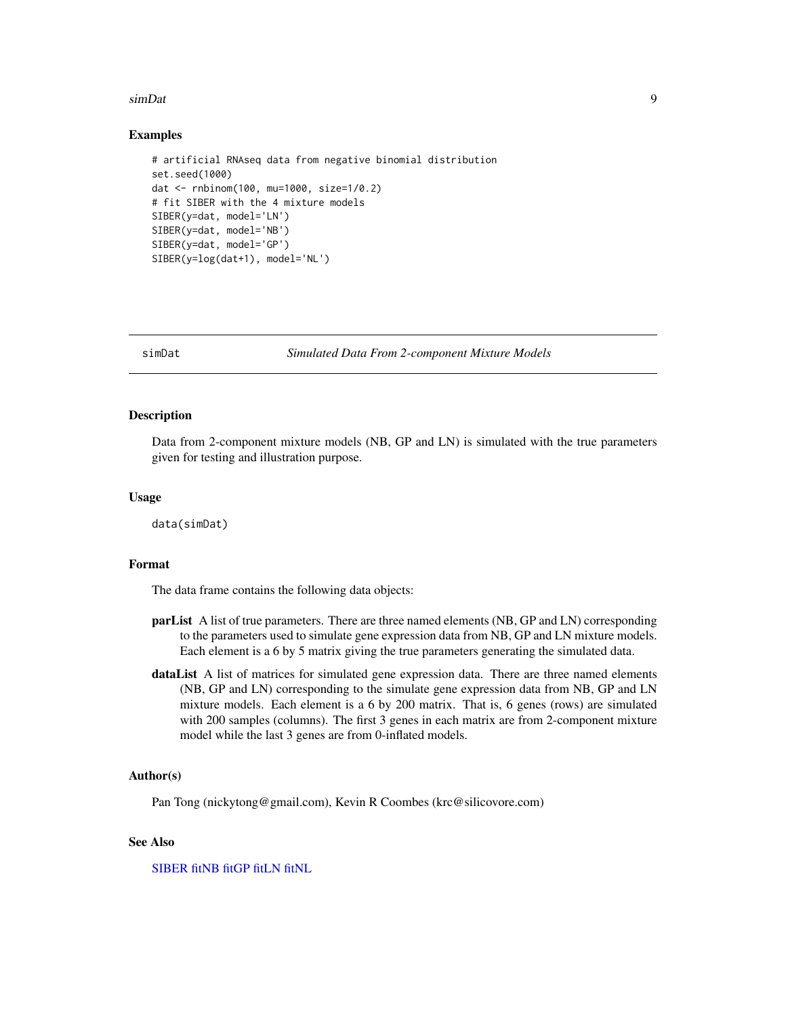#### <span id="page-8-0"></span>simDat 9

#### Examples

```
# artificial RNAseq data from negative binomial distribution
set.seed(1000)
dat <- rnbinom(100, mu=1000, size=1/0.2)
# fit SIBER with the 4 mixture models
SIBER(y=dat, model='LN')
SIBER(y=dat, model='NB')
SIBER(y=dat, model='GP')
SIBER(y=log(dat+1), model='NL')
```
simDat *Simulated Data From 2-component Mixture Models*

# Description

Data from 2-component mixture models (NB, GP and LN) is simulated with the true parameters given for testing and illustration purpose.

#### Usage

data(simDat)

#### Format

The data frame contains the following data objects:

- parList A list of true parameters. There are three named elements (NB, GP and LN) corresponding to the parameters used to simulate gene expression data from NB, GP and LN mixture models. Each element is a 6 by 5 matrix giving the true parameters generating the simulated data.
- dataList A list of matrices for simulated gene expression data. There are three named elements (NB, GP and LN) corresponding to the simulate gene expression data from NB, GP and LN mixture models. Each element is a 6 by 200 matrix. That is, 6 genes (rows) are simulated with 200 samples (columns). The first 3 genes in each matrix are from 2-component mixture model while the last 3 genes are from 0-inflated models.

# Author(s)

Pan Tong (nickytong@gmail.com), Kevin R Coombes (krc@silicovore.com)

#### See Also

[SIBER](#page-6-1) [fitNB](#page-4-1) [fitGP](#page-1-1) [fitLN](#page-2-1) [fitNL](#page-5-1)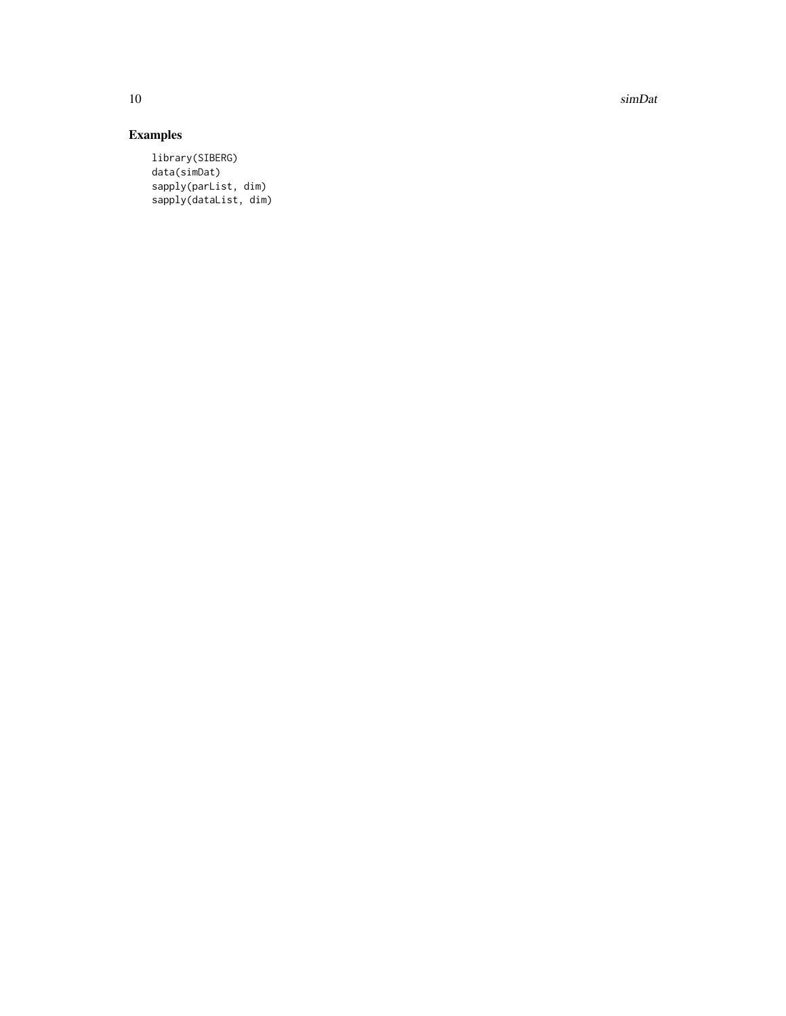10 simDat

# Examples

library(SIBERG) data(simDat) sapply(parList, dim) sapply(dataList, dim)